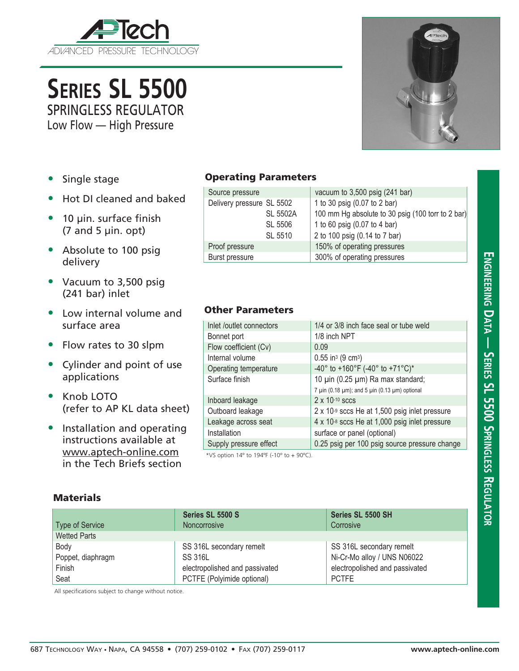

**Series SL 5500** SPRINGLESS REGULATOR

Low Flow — High Pressure



- Single stage
- Hot DI cleaned and baked
- 10 µin. surface finish  $(7 \text{ and } 5 \text{ } \mu\text{in.} \text{ opt})$
- Absolute to 100 psig delivery
- Vacuum to 3,500 psig (241 bar) inlet
- Low internal volume and surface area
- Flow rates to 30 slpm
- Cylinder and point of use applications
- Knob LOTO (refer to AP KL data sheet)
- Installation and operating instructions available at www.aptech-online.com in the Tech Briefs section

## Operating Parameters

| Source pressure           | vacuum to 3,500 psig (241 bar)                    |
|---------------------------|---------------------------------------------------|
| Delivery pressure SL 5502 | 1 to 30 psig (0.07 to 2 bar)                      |
| <b>SL 5502A</b>           | 100 mm Hg absolute to 30 psig (100 torr to 2 bar) |
| SL 5506                   | 1 to 60 psig (0.07 to 4 bar)                      |
| SL 5510                   | 2 to 100 psig (0.14 to 7 bar)                     |
| Proof pressure            | 150% of operating pressures                       |
| Burst pressure            | 300% of operating pressures                       |

## Other Parameters

| Inlet /outlet connectors | 1/4 or 3/8 inch face seal or tube weld                            |  |  |
|--------------------------|-------------------------------------------------------------------|--|--|
| Bonnet port              | 1/8 inch NPT                                                      |  |  |
| Flow coefficient (Cv)    | 0.09                                                              |  |  |
| Internal volume          | $0.55$ in <sup>3</sup> (9 cm <sup>3</sup> )                       |  |  |
| Operating temperature    | -40° to +160°F (-40° to +71°C)*                                   |  |  |
| Surface finish           | 10 µin (0.25 µm) Ra max standard;                                 |  |  |
|                          | 7 $\mu$ in (0.18 $\mu$ m); and 5 $\mu$ in (0.13 $\mu$ m) optional |  |  |
| Inboard leakage          | $2 \times 10^{-10}$ sccs                                          |  |  |
| Outboard leakage         | 2 x 10-9 sccs He at 1,500 psig inlet pressure                     |  |  |
| Leakage across seat      | 4 x 10-8 sccs He at 1,000 psig inlet pressure                     |  |  |
| Installation             | surface or panel (optional)                                       |  |  |
| Supply pressure effect   | 0.25 psig per 100 psig source pressure change                     |  |  |
|                          |                                                                   |  |  |

\*VS option 14º to 194ºF (-10º to + 90ºC).

| Materials |
|-----------|
|-----------|

|                     | Series SL 5500 S               | Series SL 5500 SH              |
|---------------------|--------------------------------|--------------------------------|
| Type of Service     | <b>Noncorrosive</b>            | Corrosive                      |
| <b>Wetted Parts</b> |                                |                                |
| Body                | SS 316L secondary remelt       | SS 316L secondary remelt       |
| Poppet, diaphragm   | <b>SS 316L</b>                 | Ni-Cr-Mo alloy / UNS N06022    |
| Finish              | electropolished and passivated | electropolished and passivated |
| Seat                | PCTFE (Polyimide optional)     | <b>PCTFE</b>                   |

All specifications subject to change without notice.